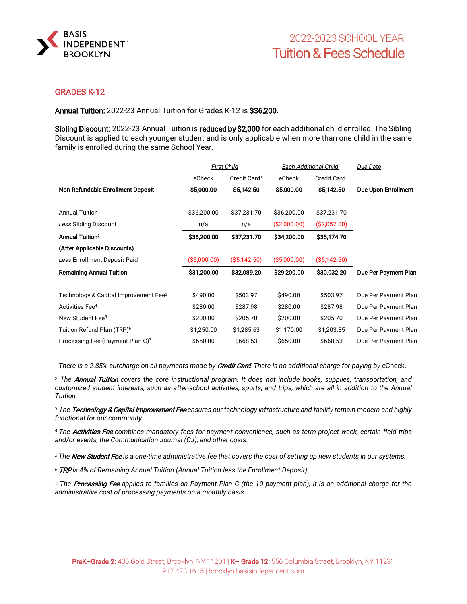

## GRADES K-12

Annual Tuition: 2022-23 Annual Tuition for Grades K-12 is \$36,200.

Sibling Discount: 2022-23 Annual Tuition is reduced by \$2,000 for each additional child enrolled. The Sibling Discount is applied to each younger student and is only applicable when more than one child in the same family is enrolled during the same School Year.

|                                                   | <b>First Child</b> |                          | Each Additional Child |                          | Due Date                   |
|---------------------------------------------------|--------------------|--------------------------|-----------------------|--------------------------|----------------------------|
|                                                   | eCheck             | Credit Card <sup>1</sup> | eCheck                | Credit Card <sup>1</sup> |                            |
| Non-Refundable Enrollment Deposit                 | \$5,000.00         | \$5,142.50               | \$5,000.00            | \$5,142.50               | <b>Due Upon Enrollment</b> |
| <b>Annual Tuition</b>                             | \$36,200.00        | \$37,231.70              | \$36,200.00           | \$37,231.70              |                            |
|                                                   |                    |                          |                       |                          |                            |
| Less Sibling Discount                             | n/a                | n/a                      | (S2,000.00)           | ( \$2,057.00)            |                            |
| <b>Annual Tuition<sup>2</sup></b>                 | \$36,200.00        | \$37,231.70              | \$34,200.00           | \$35,174.70              |                            |
| (After Applicable Discounts)                      |                    |                          |                       |                          |                            |
| Less Enrollment Deposit Paid                      | ( \$5,000.00)      | ( \$5,142.50)            | ( \$5,000.00)         | ( \$5,142.50)            |                            |
| <b>Remaining Annual Tuition</b>                   | \$31,200.00        | \$32,089.20              | \$29,200.00           | \$30,032.20              | Due Per Payment Plan       |
| Technology & Capital Improvement Fee <sup>3</sup> | \$490.00           | \$503.97                 | \$490.00              | \$503.97                 | Due Per Payment Plan       |
| Activities Fee <sup>4</sup>                       | \$280.00           | \$287.98                 | \$280.00              | \$287.98                 | Due Per Payment Plan       |
| New Student Fee <sup>5</sup>                      | \$200.00           | \$205.70                 | \$200.00              | \$205.70                 | Due Per Payment Plan       |
| Tuition Refund Plan (TRP) <sup>6</sup>            | \$1,250.00         | \$1,285.63               | \$1,170.00            | \$1,203.35               | Due Per Payment Plan       |
| Processing Fee (Payment Plan C) <sup>7</sup>      | \$650.00           | \$668.53                 | \$650.00              | \$668.53                 | Due Per Payment Plan       |

*<sup>1</sup> There is a 2.85% surcharge on all payments made by* Credit Card*. There is no additional charge for paying by* eCheck.

*<sup>2</sup> The* Annual Tuition *covers the core instructional program. It does not include books, supplies, transportation, and customized student interests, such as after-school activities, sports, and trips, which are all in addition to the Annual Tuition.*

*<sup>3</sup> The* Technology & Capital Improvement Fee *ensures our technology infrastructure and facility remain modern and highly functional for our community.*

*4 The* Activities Fee *combines mandatory fees for payment convenience, such as term project week, certain field trips and/or events, the Communication Journal (CJ), and other costs.* 

*5 The* New Student Fee *is a one-time administrative fee that covers the cost of setting up new students in our systems.* 

*<sup>6</sup>* TRP *is 4% of Remaining Annual Tuition (Annual Tuition less the Enrollment Deposit).*

*<sup>7</sup> The* Processing Fee *applies to families on Payment Plan C (the 10 payment plan); it is an additional charge for the administrative cost of processing payments on a monthly basis.*